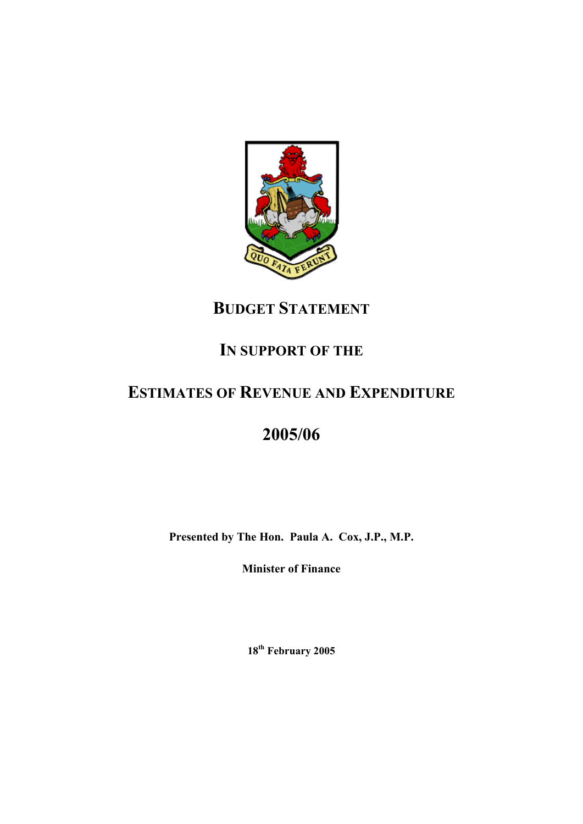

## **BUDGET STATEMENT**

## **IN SUPPORT OF THE**

## **ESTIMATES OF REVENUE AND EXPENDITURE**

# **2005/06**

**Presented by The Hon. Paula A. Cox, J.P., M.P.** 

**Minister of Finance** 

**18th February 2005**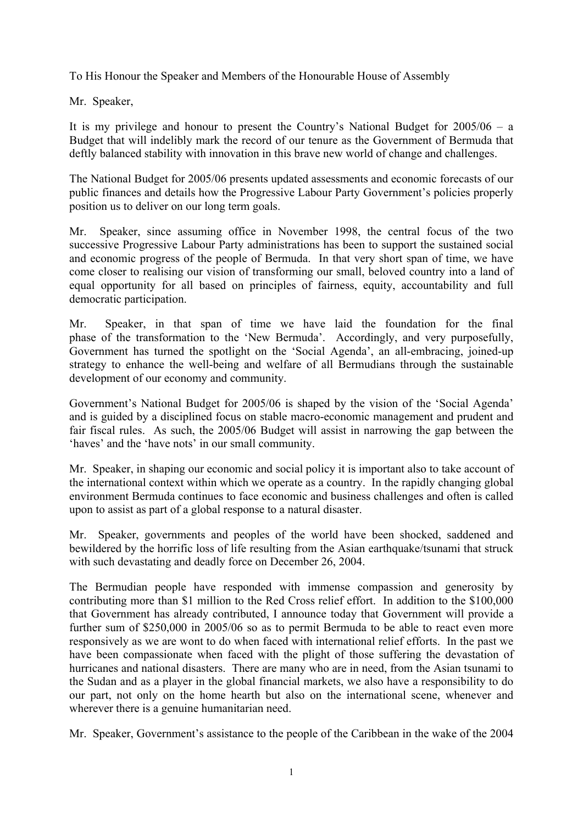To His Honour the Speaker and Members of the Honourable House of Assembly

Mr. Speaker,

It is my privilege and honour to present the Country's National Budget for 2005/06 – a Budget that will indelibly mark the record of our tenure as the Government of Bermuda that deftly balanced stability with innovation in this brave new world of change and challenges.

The National Budget for 2005/06 presents updated assessments and economic forecasts of our public finances and details how the Progressive Labour Party Government's policies properly position us to deliver on our long term goals.

Mr. Speaker, since assuming office in November 1998, the central focus of the two successive Progressive Labour Party administrations has been to support the sustained social and economic progress of the people of Bermuda. In that very short span of time, we have come closer to realising our vision of transforming our small, beloved country into a land of equal opportunity for all based on principles of fairness, equity, accountability and full democratic participation.

Mr. Speaker, in that span of time we have laid the foundation for the final phase of the transformation to the 'New Bermuda'. Accordingly, and very purposefully, Government has turned the spotlight on the 'Social Agenda', an all-embracing, joined-up strategy to enhance the well-being and welfare of all Bermudians through the sustainable development of our economy and community.

Government's National Budget for 2005/06 is shaped by the vision of the 'Social Agenda' and is guided by a disciplined focus on stable macro-economic management and prudent and fair fiscal rules. As such, the 2005/06 Budget will assist in narrowing the gap between the 'haves' and the 'have nots' in our small community.

Mr. Speaker, in shaping our economic and social policy it is important also to take account of the international context within which we operate as a country. In the rapidly changing global environment Bermuda continues to face economic and business challenges and often is called upon to assist as part of a global response to a natural disaster.

Mr. Speaker, governments and peoples of the world have been shocked, saddened and bewildered by the horrific loss of life resulting from the Asian earthquake/tsunami that struck with such devastating and deadly force on December 26, 2004.

The Bermudian people have responded with immense compassion and generosity by contributing more than \$1 million to the Red Cross relief effort. In addition to the \$100,000 that Government has already contributed, I announce today that Government will provide a further sum of \$250,000 in 2005/06 so as to permit Bermuda to be able to react even more responsively as we are wont to do when faced with international relief efforts. In the past we have been compassionate when faced with the plight of those suffering the devastation of hurricanes and national disasters. There are many who are in need, from the Asian tsunami to the Sudan and as a player in the global financial markets, we also have a responsibility to do our part, not only on the home hearth but also on the international scene, whenever and wherever there is a genuine humanitarian need.

Mr. Speaker, Government's assistance to the people of the Caribbean in the wake of the 2004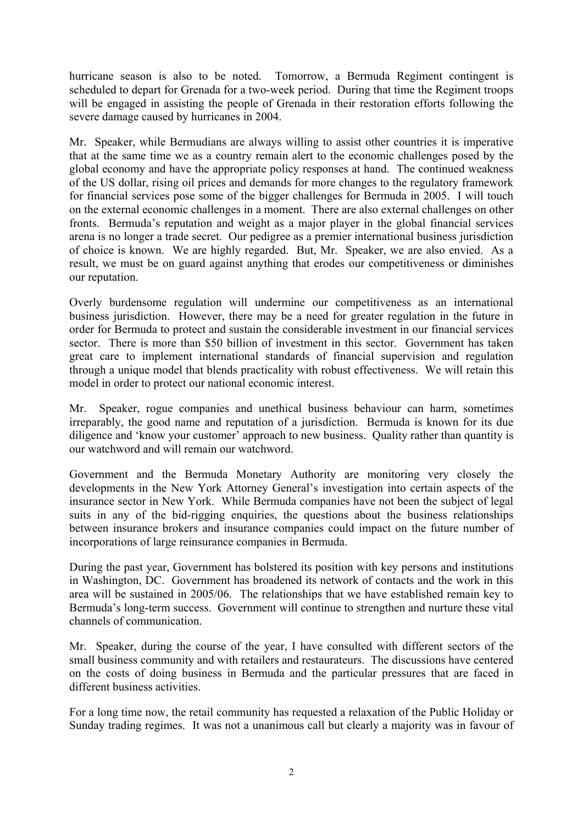hurricane season is also to be noted. Tomorrow, a Bermuda Regiment contingent is scheduled to depart for Grenada for a two-week period. During that time the Regiment troops will be engaged in assisting the people of Grenada in their restoration efforts following the severe damage caused by hurricanes in 2004.

Mr. Speaker, while Bermudians are always willing to assist other countries it is imperative that at the same time we as a country remain alert to the economic challenges posed by the global economy and have the appropriate policy responses at hand. The continued weakness of the US dollar, rising oil prices and demands for more changes to the regulatory framework for financial services pose some of the bigger challenges for Bermuda in 2005. I will touch on the external economic challenges in a moment. There are also external challenges on other fronts. Bermuda's reputation and weight as a major player in the global financial services arena is no longer a trade secret. Our pedigree as a premier international business jurisdiction of choice is known. We are highly regarded. But, Mr. Speaker, we are also envied. As a result, we must be on guard against anything that erodes our competitiveness or diminishes our reputation.

Overly burdensome regulation will undermine our competitiveness as an international business jurisdiction. However, there may be a need for greater regulation in the future in order for Bermuda to protect and sustain the considerable investment in our financial services sector. There is more than \$50 billion of investment in this sector. Government has taken great care to implement international standards of financial supervision and regulation through a unique model that blends practicality with robust effectiveness. We will retain this model in order to protect our national economic interest.

Mr. Speaker, rogue companies and unethical business behaviour can harm, sometimes irreparably, the good name and reputation of a jurisdiction. Bermuda is known for its due diligence and 'know your customer' approach to new business. Quality rather than quantity is our watchword and will remain our watchword.

Government and the Bermuda Monetary Authority are monitoring very closely the developments in the New York Attorney General's investigation into certain aspects of the insurance sector in New York. While Bermuda companies have not been the subject of legal suits in any of the bid-rigging enquiries, the questions about the business relationships between insurance brokers and insurance companies could impact on the future number of incorporations of large reinsurance companies in Bermuda.

During the past year, Government has bolstered its position with key persons and institutions in Washington, DC. Government has broadened its network of contacts and the work in this area will be sustained in 2005/06. The relationships that we have established remain key to Bermuda's long-term success. Government will continue to strengthen and nurture these vital channels of communication.

Mr. Speaker, during the course of the year, I have consulted with different sectors of the small business community and with retailers and restaurateurs. The discussions have centered on the costs of doing business in Bermuda and the particular pressures that are faced in different business activities.

For a long time now, the retail community has requested a relaxation of the Public Holiday or Sunday trading regimes. It was not a unanimous call but clearly a majority was in favour of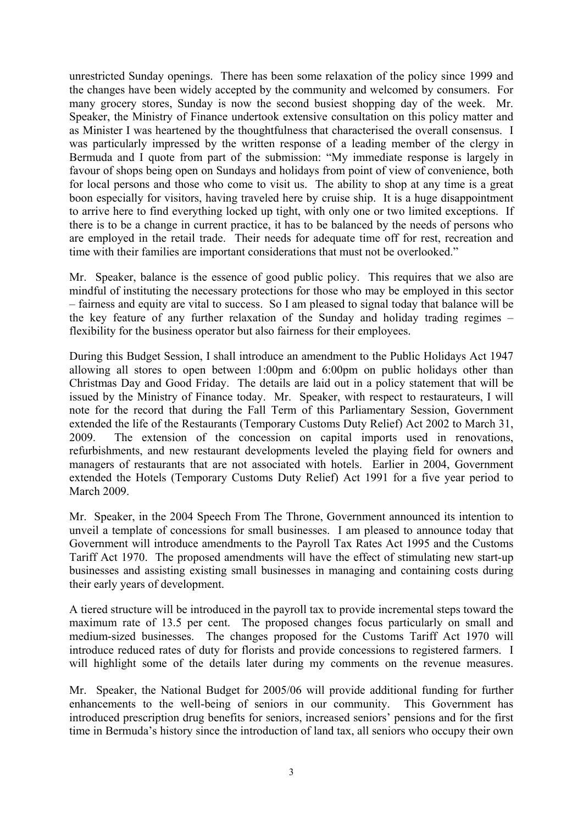unrestricted Sunday openings. There has been some relaxation of the policy since 1999 and the changes have been widely accepted by the community and welcomed by consumers. For many grocery stores, Sunday is now the second busiest shopping day of the week. Mr. Speaker, the Ministry of Finance undertook extensive consultation on this policy matter and as Minister I was heartened by the thoughtfulness that characterised the overall consensus. I was particularly impressed by the written response of a leading member of the clergy in Bermuda and I quote from part of the submission: "My immediate response is largely in favour of shops being open on Sundays and holidays from point of view of convenience, both for local persons and those who come to visit us. The ability to shop at any time is a great boon especially for visitors, having traveled here by cruise ship. It is a huge disappointment to arrive here to find everything locked up tight, with only one or two limited exceptions. If there is to be a change in current practice, it has to be balanced by the needs of persons who are employed in the retail trade. Their needs for adequate time off for rest, recreation and time with their families are important considerations that must not be overlooked."

Mr. Speaker, balance is the essence of good public policy. This requires that we also are mindful of instituting the necessary protections for those who may be employed in this sector – fairness and equity are vital to success. So I am pleased to signal today that balance will be the key feature of any further relaxation of the Sunday and holiday trading regimes – flexibility for the business operator but also fairness for their employees.

During this Budget Session, I shall introduce an amendment to the Public Holidays Act 1947 allowing all stores to open between  $1:00$ pm and  $6:00$ pm on public holidays other than Christmas Day and Good Friday. The details are laid out in a policy statement that will be issued by the Ministry of Finance today. Mr. Speaker, with respect to restaurateurs, I will note for the record that during the Fall Term of this Parliamentary Session, Government extended the life of the Restaurants (Temporary Customs Duty Relief) Act 2002 to March 31, 2009. The extension of the concession on capital imports used in renovations, refurbishments, and new restaurant developments leveled the playing field for owners and managers of restaurants that are not associated with hotels. Earlier in 2004, Government extended the Hotels (Temporary Customs Duty Relief) Act 1991 for a five year period to March 2009.

Mr. Speaker, in the 2004 Speech From The Throne, Government announced its intention to unveil a template of concessions for small businesses. I am pleased to announce today that Government will introduce amendments to the Payroll Tax Rates Act 1995 and the Customs Tariff Act 1970. The proposed amendments will have the effect of stimulating new start-up businesses and assisting existing small businesses in managing and containing costs during their early years of development.

A tiered structure will be introduced in the payroll tax to provide incremental steps toward the maximum rate of 13.5 per cent. The proposed changes focus particularly on small and medium-sized businesses. The changes proposed for the Customs Tariff Act 1970 will introduce reduced rates of duty for florists and provide concessions to registered farmers. I will highlight some of the details later during my comments on the revenue measures.

Mr. Speaker, the National Budget for 2005/06 will provide additional funding for further enhancements to the well-being of seniors in our community. This Government has introduced prescription drug benefits for seniors, increased seniors' pensions and for the first time in Bermuda's history since the introduction of land tax, all seniors who occupy their own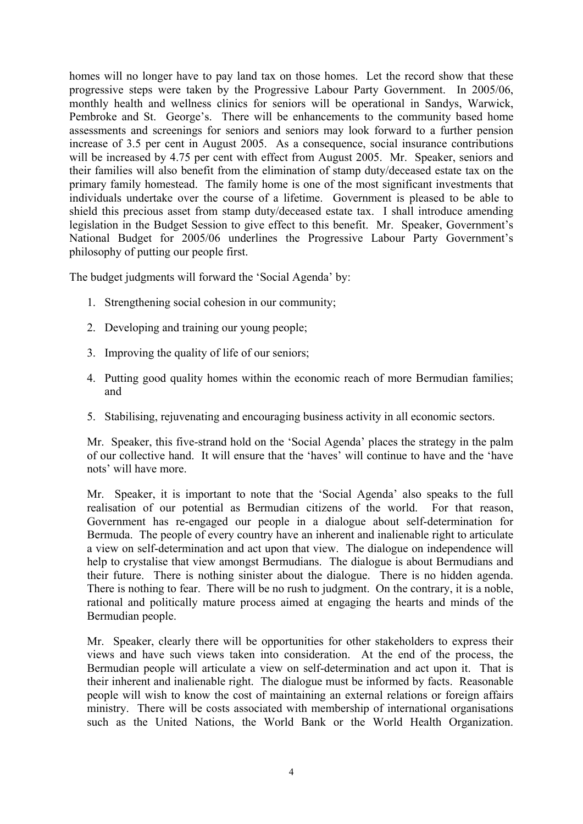homes will no longer have to pay land tax on those homes. Let the record show that these progressive steps were taken by the Progressive Labour Party Government. In 2005/06, monthly health and wellness clinics for seniors will be operational in Sandys, Warwick, Pembroke and St. George's. There will be enhancements to the community based home assessments and screenings for seniors and seniors may look forward to a further pension increase of 3.5 per cent in August 2005. As a consequence, social insurance contributions will be increased by 4.75 per cent with effect from August 2005. Mr. Speaker, seniors and their families will also benefit from the elimination of stamp duty/deceased estate tax on the primary family homestead. The family home is one of the most significant investments that individuals undertake over the course of a lifetime. Government is pleased to be able to shield this precious asset from stamp duty/deceased estate tax. I shall introduce amending legislation in the Budget Session to give effect to this benefit. Mr. Speaker, Government's National Budget for 2005/06 underlines the Progressive Labour Party Government's philosophy of putting our people first.

The budget judgments will forward the 'Social Agenda' by:

- 1. Strengthening social cohesion in our community;
- 2. Developing and training our young people;
- 3. Improving the quality of life of our seniors;
- 4. Putting good quality homes within the economic reach of more Bermudian families; and
- 5. Stabilising, rejuvenating and encouraging business activity in all economic sectors.

Mr. Speaker, this five-strand hold on the 'Social Agenda' places the strategy in the palm of our collective hand. It will ensure that the 'haves' will continue to have and the 'have nots' will have more.

Mr. Speaker, it is important to note that the 'Social Agenda' also speaks to the full realisation of our potential as Bermudian citizens of the world. For that reason, Government has re-engaged our people in a dialogue about self-determination for Bermuda. The people of every country have an inherent and inalienable right to articulate a view on self-determination and act upon that view. The dialogue on independence will help to crystalise that view amongst Bermudians. The dialogue is about Bermudians and their future. There is nothing sinister about the dialogue. There is no hidden agenda. There is nothing to fear. There will be no rush to judgment. On the contrary, it is a noble, rational and politically mature process aimed at engaging the hearts and minds of the Bermudian people.

Mr. Speaker, clearly there will be opportunities for other stakeholders to express their views and have such views taken into consideration. At the end of the process, the Bermudian people will articulate a view on self-determination and act upon it. That is their inherent and inalienable right. The dialogue must be informed by facts. Reasonable people will wish to know the cost of maintaining an external relations or foreign affairs ministry. There will be costs associated with membership of international organisations such as the United Nations, the World Bank or the World Health Organization.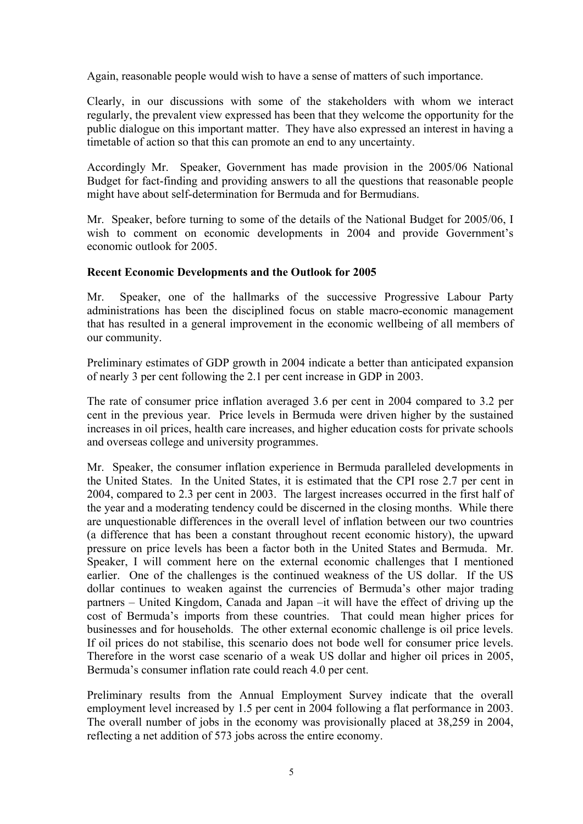Again, reasonable people would wish to have a sense of matters of such importance.

Clearly, in our discussions with some of the stakeholders with whom we interact regularly, the prevalent view expressed has been that they welcome the opportunity for the public dialogue on this important matter. They have also expressed an interest in having a timetable of action so that this can promote an end to any uncertainty.

Accordingly Mr. Speaker, Government has made provision in the 2005/06 National Budget for fact-finding and providing answers to all the questions that reasonable people might have about self-determination for Bermuda and for Bermudians.

Mr. Speaker, before turning to some of the details of the National Budget for 2005/06, I wish to comment on economic developments in 2004 and provide Government's economic outlook for 2005.

#### **Recent Economic Developments and the Outlook for 2005**

Mr. Speaker, one of the hallmarks of the successive Progressive Labour Party administrations has been the disciplined focus on stable macro-economic management that has resulted in a general improvement in the economic wellbeing of all members of our community.

Preliminary estimates of GDP growth in 2004 indicate a better than anticipated expansion of nearly 3 per cent following the 2.1 per cent increase in GDP in 2003.

The rate of consumer price inflation averaged 3.6 per cent in 2004 compared to 3.2 per cent in the previous year. Price levels in Bermuda were driven higher by the sustained increases in oil prices, health care increases, and higher education costs for private schools and overseas college and university programmes.

Mr. Speaker, the consumer inflation experience in Bermuda paralleled developments in the United States. In the United States, it is estimated that the CPI rose 2.7 per cent in 2004, compared to 2.3 per cent in 2003. The largest increases occurred in the first half of the year and a moderating tendency could be discerned in the closing months. While there are unquestionable differences in the overall level of inflation between our two countries (a difference that has been a constant throughout recent economic history), the upward pressure on price levels has been a factor both in the United States and Bermuda. Mr. Speaker, I will comment here on the external economic challenges that I mentioned earlier. One of the challenges is the continued weakness of the US dollar. If the US dollar continues to weaken against the currencies of Bermuda's other major trading partners – United Kingdom, Canada and Japan –it will have the effect of driving up the cost of Bermuda's imports from these countries. That could mean higher prices for businesses and for households. The other external economic challenge is oil price levels. If oil prices do not stabilise, this scenario does not bode well for consumer price levels. Therefore in the worst case scenario of a weak US dollar and higher oil prices in 2005, Bermuda's consumer inflation rate could reach 4.0 per cent.

Preliminary results from the Annual Employment Survey indicate that the overall employment level increased by 1.5 per cent in 2004 following a flat performance in 2003. The overall number of jobs in the economy was provisionally placed at 38,259 in 2004, reflecting a net addition of 573 jobs across the entire economy.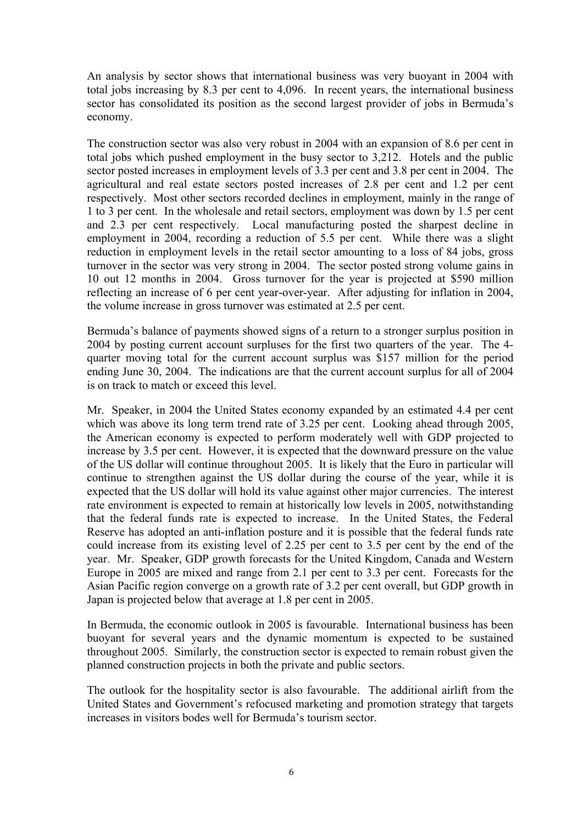An analysis by sector shows that international business was very buoyant in 2004 with total jobs increasing by 8.3 per cent to 4,096. In recent years, the international business sector has consolidated its position as the second largest provider of jobs in Bermuda's economy.

The construction sector was also very robust in 2004 with an expansion of 8.6 per cent in total jobs which pushed employment in the busy sector to 3,212. Hotels and the public sector posted increases in employment levels of 3.3 per cent and 3.8 per cent in 2004. The agricultural and real estate sectors posted increases of 2.8 per cent and 1.2 per cent respectively. Most other sectors recorded declines in employment, mainly in the range of 1 to 3 per cent. In the wholesale and retail sectors, employment was down by 1.5 per cent and 2.3 per cent respectively. Local manufacturing posted the sharpest decline in employment in 2004, recording a reduction of 5.5 per cent. While there was a slight reduction in employment levels in the retail sector amounting to a loss of 84 jobs, gross turnover in the sector was very strong in 2004. The sector posted strong volume gains in 10 out 12 months in 2004. Gross turnover for the year is projected at \$590 million reflecting an increase of 6 per cent year-over-year. After adjusting for inflation in 2004, the volume increase in gross turnover was estimated at 2.5 per cent.

Bermuda's balance of payments showed signs of a return to a stronger surplus position in 2004 by posting current account surpluses for the first two quarters of the year. The 4 quarter moving total for the current account surplus was \$157 million for the period ending June 30, 2004. The indications are that the current account surplus for all of 2004 is on track to match or exceed this level.

Mr. Speaker, in 2004 the United States economy expanded by an estimated 4.4 per cent which was above its long term trend rate of 3.25 per cent. Looking ahead through 2005, the American economy is expected to perform moderately well with GDP projected to increase by 3.5 per cent. However, it is expected that the downward pressure on the value of the US dollar will continue throughout 2005. It is likely that the Euro in particular will continue to strengthen against the US dollar during the course of the year, while it is expected that the US dollar will hold its value against other major currencies. The interest rate environment is expected to remain at historically low levels in 2005, notwithstanding that the federal funds rate is expected to increase. In the United States, the Federal Reserve has adopted an anti-inflation posture and it is possible that the federal funds rate could increase from its existing level of 2.25 per cent to 3.5 per cent by the end of the year. Mr. Speaker, GDP growth forecasts for the United Kingdom, Canada and Western Europe in 2005 are mixed and range from 2.1 per cent to 3.3 per cent. Forecasts for the Asian Pacific region converge on a growth rate of 3.2 per cent overall, but GDP growth in Japan is projected below that average at 1.8 per cent in 2005.

In Bermuda, the economic outlook in 2005 is favourable. International business has been buoyant for several years and the dynamic momentum is expected to be sustained throughout 2005. Similarly, the construction sector is expected to remain robust given the planned construction projects in both the private and public sectors.

The outlook for the hospitality sector is also favourable. The additional airlift from the United States and Government's refocused marketing and promotion strategy that targets increases in visitors bodes well for Bermuda's tourism sector.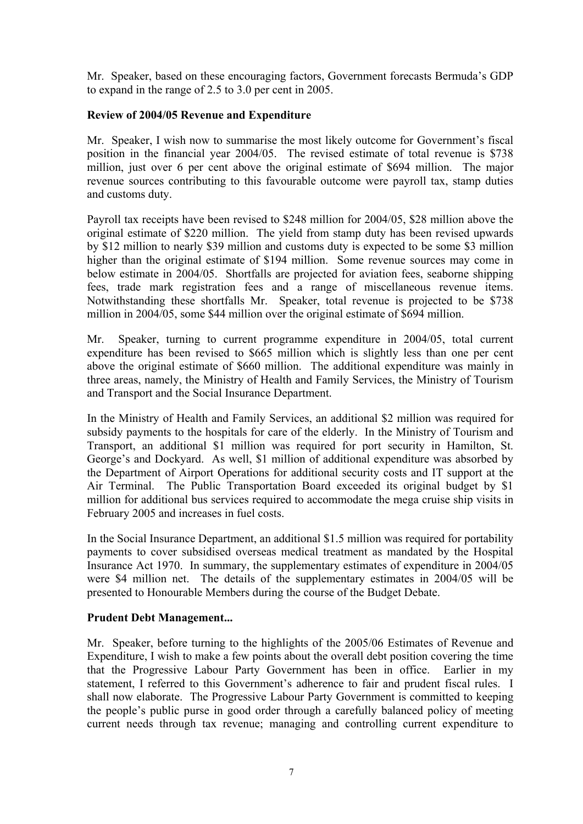Mr. Speaker, based on these encouraging factors, Government forecasts Bermuda's GDP to expand in the range of 2.5 to 3.0 per cent in 2005.

## **Review of 2004/05 Revenue and Expenditure**

Mr. Speaker, I wish now to summarise the most likely outcome for Government's fiscal position in the financial year 2004/05. The revised estimate of total revenue is \$738 million, just over 6 per cent above the original estimate of \$694 million. The major revenue sources contributing to this favourable outcome were payroll tax, stamp duties and customs duty.

Payroll tax receipts have been revised to \$248 million for 2004/05, \$28 million above the original estimate of \$220 million. The yield from stamp duty has been revised upwards by \$12 million to nearly \$39 million and customs duty is expected to be some \$3 million higher than the original estimate of \$194 million. Some revenue sources may come in below estimate in 2004/05. Shortfalls are projected for aviation fees, seaborne shipping fees, trade mark registration fees and a range of miscellaneous revenue items. Notwithstanding these shortfalls Mr. Speaker, total revenue is projected to be \$738 million in 2004/05, some \$44 million over the original estimate of \$694 million.

Mr. Speaker, turning to current programme expenditure in 2004/05, total current expenditure has been revised to \$665 million which is slightly less than one per cent above the original estimate of \$660 million. The additional expenditure was mainly in three areas, namely, the Ministry of Health and Family Services, the Ministry of Tourism and Transport and the Social Insurance Department.

In the Ministry of Health and Family Services, an additional \$2 million was required for subsidy payments to the hospitals for care of the elderly. In the Ministry of Tourism and Transport, an additional \$1 million was required for port security in Hamilton, St. George's and Dockyard. As well, \$1 million of additional expenditure was absorbed by the Department of Airport Operations for additional security costs and IT support at the Air Terminal. The Public Transportation Board exceeded its original budget by \$1 million for additional bus services required to accommodate the mega cruise ship visits in February 2005 and increases in fuel costs.

In the Social Insurance Department, an additional \$1.5 million was required for portability payments to cover subsidised overseas medical treatment as mandated by the Hospital Insurance Act 1970. In summary, the supplementary estimates of expenditure in 2004/05 were \$4 million net. The details of the supplementary estimates in 2004/05 will be presented to Honourable Members during the course of the Budget Debate.

#### **Prudent Debt Management...**

Mr. Speaker, before turning to the highlights of the 2005/06 Estimates of Revenue and Expenditure, I wish to make a few points about the overall debt position covering the time that the Progressive Labour Party Government has been in office. Earlier in my statement, I referred to this Government's adherence to fair and prudent fiscal rules. I shall now elaborate. The Progressive Labour Party Government is committed to keeping the people's public purse in good order through a carefully balanced policy of meeting current needs through tax revenue; managing and controlling current expenditure to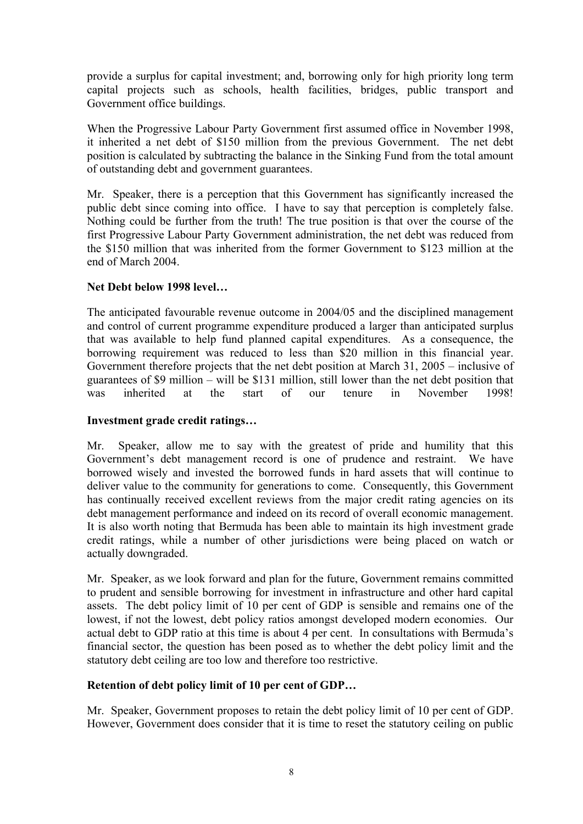provide a surplus for capital investment; and, borrowing only for high priority long term capital projects such as schools, health facilities, bridges, public transport and Government office buildings.

When the Progressive Labour Party Government first assumed office in November 1998, it inherited a net debt of \$150 million from the previous Government. The net debt position is calculated by subtracting the balance in the Sinking Fund from the total amount of outstanding debt and government guarantees.

Mr. Speaker, there is a perception that this Government has significantly increased the public debt since coming into office. I have to say that perception is completely false. Nothing could be further from the truth! The true position is that over the course of the first Progressive Labour Party Government administration, the net debt was reduced from the \$150 million that was inherited from the former Government to \$123 million at the end of March 2004.

#### **Net Debt below 1998 level…**

The anticipated favourable revenue outcome in 2004/05 and the disciplined management and control of current programme expenditure produced a larger than anticipated surplus that was available to help fund planned capital expenditures. As a consequence, the borrowing requirement was reduced to less than \$20 million in this financial year. Government therefore projects that the net debt position at March 31, 2005 – inclusive of guarantees of \$9 million – will be \$131 million, still lower than the net debt position that was inherited at the start of our tenure in November 1998!

#### **Investment grade credit ratings…**

Mr. Speaker, allow me to say with the greatest of pride and humility that this Government's debt management record is one of prudence and restraint. We have borrowed wisely and invested the borrowed funds in hard assets that will continue to deliver value to the community for generations to come. Consequently, this Government has continually received excellent reviews from the major credit rating agencies on its debt management performance and indeed on its record of overall economic management. It is also worth noting that Bermuda has been able to maintain its high investment grade credit ratings, while a number of other jurisdictions were being placed on watch or actually downgraded.

Mr. Speaker, as we look forward and plan for the future, Government remains committed to prudent and sensible borrowing for investment in infrastructure and other hard capital assets. The debt policy limit of 10 per cent of GDP is sensible and remains one of the lowest, if not the lowest, debt policy ratios amongst developed modern economies. Our actual debt to GDP ratio at this time is about 4 per cent. In consultations with Bermuda's financial sector, the question has been posed as to whether the debt policy limit and the statutory debt ceiling are too low and therefore too restrictive.

## **Retention of debt policy limit of 10 per cent of GDP…**

Mr. Speaker, Government proposes to retain the debt policy limit of 10 per cent of GDP. However, Government does consider that it is time to reset the statutory ceiling on public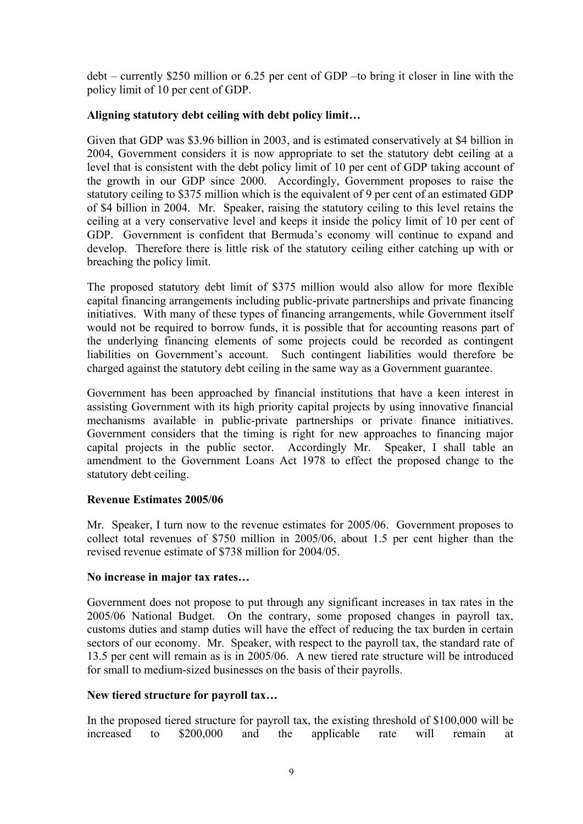debt – currently \$250 million or 6.25 per cent of GDP –to bring it closer in line with the policy limit of 10 per cent of GDP.

## **Aligning statutory debt ceiling with debt policy limit…**

Given that GDP was \$3.96 billion in 2003, and is estimated conservatively at \$4 billion in 2004, Government considers it is now appropriate to set the statutory debt ceiling at a level that is consistent with the debt policy limit of 10 per cent of GDP taking account of the growth in our GDP since 2000. Accordingly, Government proposes to raise the statutory ceiling to \$375 million which is the equivalent of 9 per cent of an estimated GDP of \$4 billion in 2004. Mr. Speaker, raising the statutory ceiling to this level retains the ceiling at a very conservative level and keeps it inside the policy limit of 10 per cent of GDP. Government is confident that Bermuda's economy will continue to expand and develop. Therefore there is little risk of the statutory ceiling either catching up with or breaching the policy limit.

The proposed statutory debt limit of \$375 million would also allow for more flexible capital financing arrangements including public-private partnerships and private financing initiatives. With many of these types of financing arrangements, while Government itself would not be required to borrow funds, it is possible that for accounting reasons part of the underlying financing elements of some projects could be recorded as contingent liabilities on Government's account. Such contingent liabilities would therefore be charged against the statutory debt ceiling in the same way as a Government guarantee.

Government has been approached by financial institutions that have a keen interest in assisting Government with its high priority capital projects by using innovative financial mechanisms available in public-private partnerships or private finance initiatives. Government considers that the timing is right for new approaches to financing major capital projects in the public sector. Accordingly Mr. Speaker, I shall table an amendment to the Government Loans Act 1978 to effect the proposed change to the statutory debt ceiling.

## **Revenue Estimates 2005/06**

Mr. Speaker, I turn now to the revenue estimates for 2005/06. Government proposes to collect total revenues of \$750 million in 2005/06, about 1.5 per cent higher than the revised revenue estimate of \$738 million for 2004/05.

#### **No increase in major tax rates…**

Government does not propose to put through any significant increases in tax rates in the 2005/06 National Budget. On the contrary, some proposed changes in payroll tax, customs duties and stamp duties will have the effect of reducing the tax burden in certain sectors of our economy. Mr. Speaker, with respect to the payroll tax, the standard rate of 13.5 per cent will remain as is in 2005/06. A new tiered rate structure will be introduced for small to medium-sized businesses on the basis of their payrolls.

## **New tiered structure for payroll tax…**

In the proposed tiered structure for payroll tax, the existing threshold of \$100,000 will be increased to \$200,000 and the applicable rate will remain at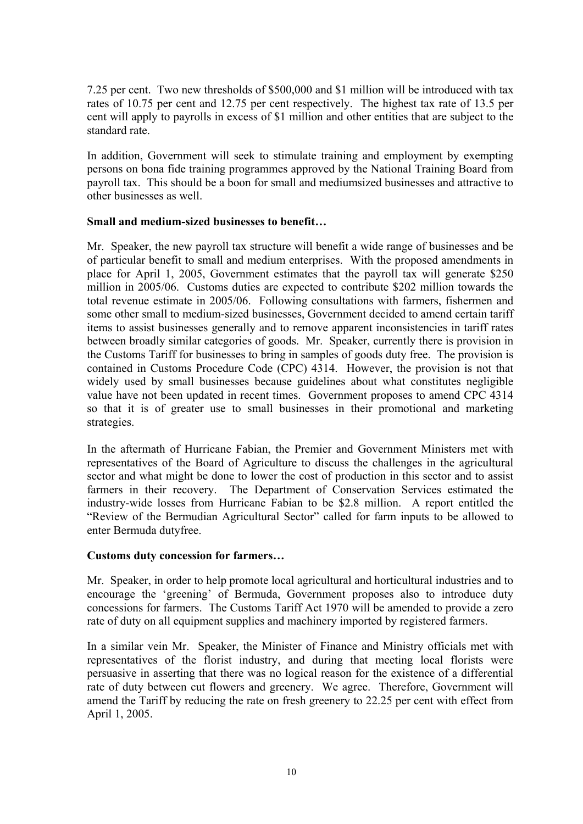7.25 per cent. Two new thresholds of \$500,000 and \$1 million will be introduced with tax rates of 10.75 per cent and 12.75 per cent respectively. The highest tax rate of 13.5 per cent will apply to payrolls in excess of \$1 million and other entities that are subject to the standard rate.

In addition, Government will seek to stimulate training and employment by exempting persons on bona fide training programmes approved by the National Training Board from payroll tax. This should be a boon for small and mediumsized businesses and attractive to other businesses as well.

#### **Small and medium-sized businesses to benefit…**

Mr. Speaker, the new payroll tax structure will benefit a wide range of businesses and be of particular benefit to small and medium enterprises. With the proposed amendments in place for April 1, 2005, Government estimates that the payroll tax will generate \$250 million in 2005/06. Customs duties are expected to contribute \$202 million towards the total revenue estimate in 2005/06. Following consultations with farmers, fishermen and some other small to medium-sized businesses, Government decided to amend certain tariff items to assist businesses generally and to remove apparent inconsistencies in tariff rates between broadly similar categories of goods. Mr. Speaker, currently there is provision in the Customs Tariff for businesses to bring in samples of goods duty free. The provision is contained in Customs Procedure Code (CPC) 4314. However, the provision is not that widely used by small businesses because guidelines about what constitutes negligible value have not been updated in recent times. Government proposes to amend CPC 4314 so that it is of greater use to small businesses in their promotional and marketing strategies.

In the aftermath of Hurricane Fabian, the Premier and Government Ministers met with representatives of the Board of Agriculture to discuss the challenges in the agricultural sector and what might be done to lower the cost of production in this sector and to assist farmers in their recovery. The Department of Conservation Services estimated the industry-wide losses from Hurricane Fabian to be \$2.8 million. A report entitled the "Review of the Bermudian Agricultural Sector" called for farm inputs to be allowed to enter Bermuda dutyfree.

#### **Customs duty concession for farmers…**

Mr. Speaker, in order to help promote local agricultural and horticultural industries and to encourage the 'greening' of Bermuda, Government proposes also to introduce duty concessions for farmers. The Customs Tariff Act 1970 will be amended to provide a zero rate of duty on all equipment supplies and machinery imported by registered farmers.

In a similar vein Mr. Speaker, the Minister of Finance and Ministry officials met with representatives of the florist industry, and during that meeting local florists were persuasive in asserting that there was no logical reason for the existence of a differential rate of duty between cut flowers and greenery. We agree. Therefore, Government will amend the Tariff by reducing the rate on fresh greenery to 22.25 per cent with effect from April 1, 2005.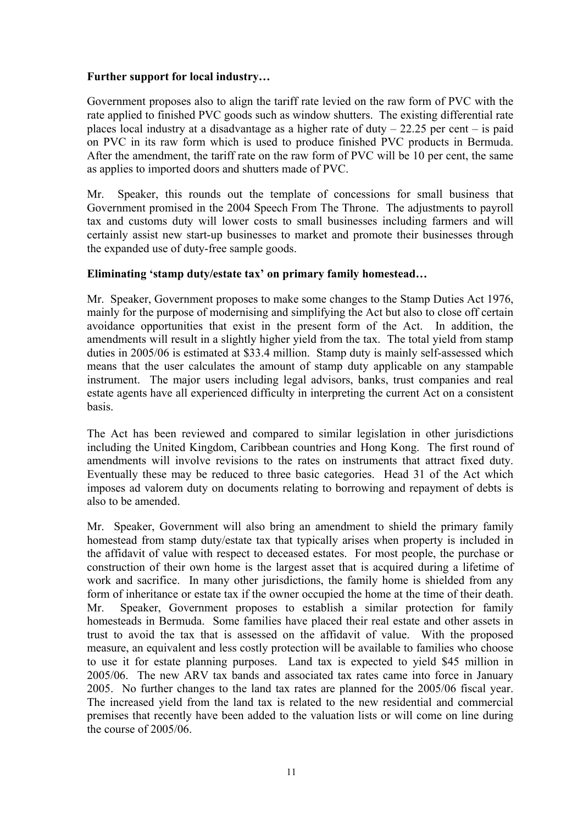#### **Further support for local industry…**

Government proposes also to align the tariff rate levied on the raw form of PVC with the rate applied to finished PVC goods such as window shutters. The existing differential rate places local industry at a disadvantage as a higher rate of duty  $-22.25$  per cent  $-$  is paid on PVC in its raw form which is used to produce finished PVC products in Bermuda. After the amendment, the tariff rate on the raw form of PVC will be 10 per cent, the same as applies to imported doors and shutters made of PVC.

Mr. Speaker, this rounds out the template of concessions for small business that Government promised in the 2004 Speech From The Throne. The adjustments to payroll tax and customs duty will lower costs to small businesses including farmers and will certainly assist new start-up businesses to market and promote their businesses through the expanded use of duty-free sample goods.

## **Eliminating 'stamp duty/estate tax' on primary family homestead…**

Mr. Speaker, Government proposes to make some changes to the Stamp Duties Act 1976, mainly for the purpose of modernising and simplifying the Act but also to close off certain avoidance opportunities that exist in the present form of the Act. In addition, the amendments will result in a slightly higher yield from the tax. The total yield from stamp duties in 2005/06 is estimated at \$33.4 million. Stamp duty is mainly self-assessed which means that the user calculates the amount of stamp duty applicable on any stampable instrument. The major users including legal advisors, banks, trust companies and real estate agents have all experienced difficulty in interpreting the current Act on a consistent basis.

The Act has been reviewed and compared to similar legislation in other jurisdictions including the United Kingdom, Caribbean countries and Hong Kong. The first round of amendments will involve revisions to the rates on instruments that attract fixed duty. Eventually these may be reduced to three basic categories. Head 31 of the Act which imposes ad valorem duty on documents relating to borrowing and repayment of debts is also to be amended.

Mr. Speaker, Government will also bring an amendment to shield the primary family homestead from stamp duty/estate tax that typically arises when property is included in the affidavit of value with respect to deceased estates. For most people, the purchase or construction of their own home is the largest asset that is acquired during a lifetime of work and sacrifice. In many other jurisdictions, the family home is shielded from any form of inheritance or estate tax if the owner occupied the home at the time of their death. Mr. Speaker, Government proposes to establish a similar protection for family homesteads in Bermuda. Some families have placed their real estate and other assets in trust to avoid the tax that is assessed on the affidavit of value. With the proposed measure, an equivalent and less costly protection will be available to families who choose to use it for estate planning purposes. Land tax is expected to yield \$45 million in 2005/06. The new ARV tax bands and associated tax rates came into force in January 2005. No further changes to the land tax rates are planned for the 2005/06 fiscal year. The increased yield from the land tax is related to the new residential and commercial premises that recently have been added to the valuation lists or will come on line during the course of 2005/06.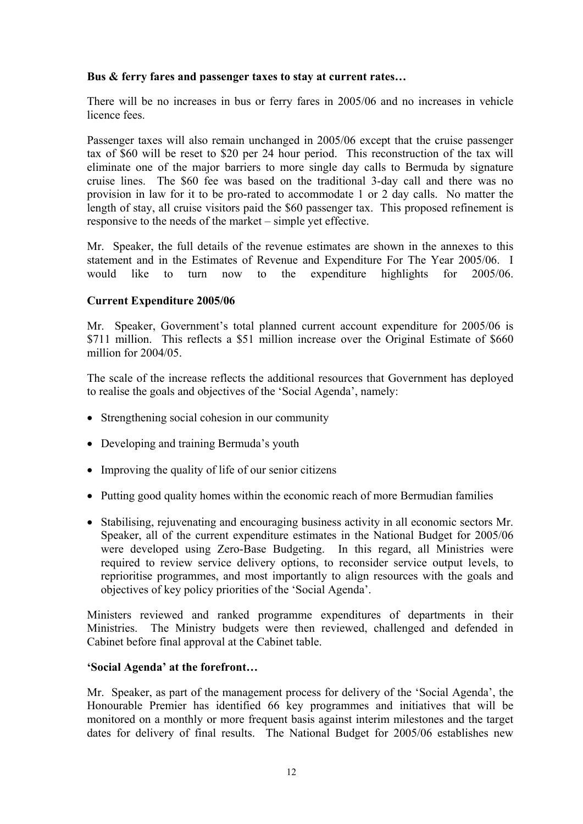#### **Bus & ferry fares and passenger taxes to stay at current rates…**

There will be no increases in bus or ferry fares in 2005/06 and no increases in vehicle licence fees.

Passenger taxes will also remain unchanged in 2005/06 except that the cruise passenger tax of \$60 will be reset to \$20 per 24 hour period. This reconstruction of the tax will eliminate one of the major barriers to more single day calls to Bermuda by signature cruise lines. The \$60 fee was based on the traditional 3-day call and there was no provision in law for it to be pro-rated to accommodate 1 or 2 day calls. No matter the length of stay, all cruise visitors paid the \$60 passenger tax. This proposed refinement is responsive to the needs of the market – simple yet effective.

Mr. Speaker, the full details of the revenue estimates are shown in the annexes to this statement and in the Estimates of Revenue and Expenditure For The Year 2005/06. I would like to turn now to the expenditure highlights for 2005/06.

#### **Current Expenditure 2005/06**

Mr. Speaker, Government's total planned current account expenditure for 2005/06 is \$711 million. This reflects a \$51 million increase over the Original Estimate of \$660 million for 2004/05.

The scale of the increase reflects the additional resources that Government has deployed to realise the goals and objectives of the 'Social Agenda', namely:

- Strengthening social cohesion in our community
- Developing and training Bermuda's youth
- Improving the quality of life of our senior citizens
- Putting good quality homes within the economic reach of more Bermudian families
- Stabilising, rejuvenating and encouraging business activity in all economic sectors Mr. Speaker, all of the current expenditure estimates in the National Budget for 2005/06 were developed using Zero-Base Budgeting. In this regard, all Ministries were required to review service delivery options, to reconsider service output levels, to reprioritise programmes, and most importantly to align resources with the goals and objectives of key policy priorities of the 'Social Agenda'.

Ministers reviewed and ranked programme expenditures of departments in their Ministries. The Ministry budgets were then reviewed, challenged and defended in Cabinet before final approval at the Cabinet table.

#### **'Social Agenda' at the forefront…**

Mr. Speaker, as part of the management process for delivery of the 'Social Agenda', the Honourable Premier has identified 66 key programmes and initiatives that will be monitored on a monthly or more frequent basis against interim milestones and the target dates for delivery of final results. The National Budget for 2005/06 establishes new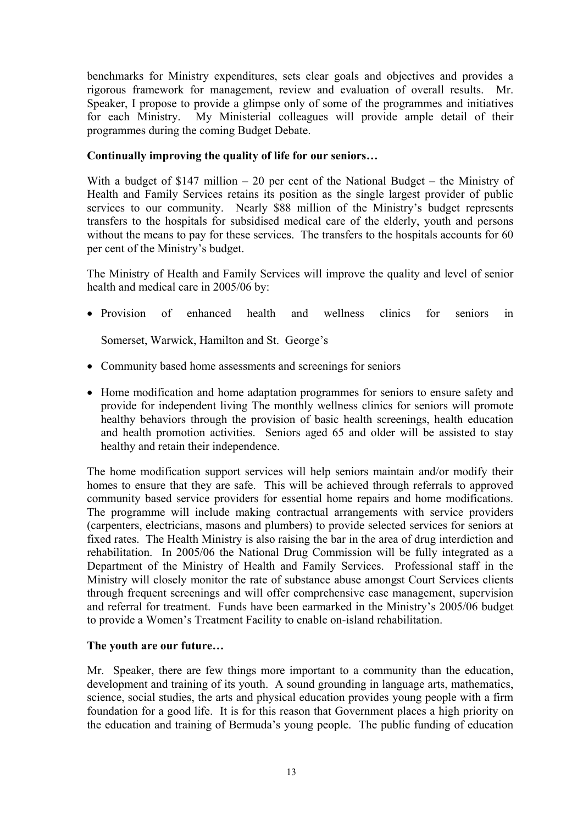benchmarks for Ministry expenditures, sets clear goals and objectives and provides a rigorous framework for management, review and evaluation of overall results. Mr. Speaker, I propose to provide a glimpse only of some of the programmes and initiatives for each Ministry. My Ministerial colleagues will provide ample detail of their programmes during the coming Budget Debate.

#### **Continually improving the quality of life for our seniors…**

With a budget of \$147 million  $-20$  per cent of the National Budget – the Ministry of Health and Family Services retains its position as the single largest provider of public services to our community. Nearly \$88 million of the Ministry's budget represents transfers to the hospitals for subsidised medical care of the elderly, youth and persons without the means to pay for these services. The transfers to the hospitals accounts for 60 per cent of the Ministry's budget.

The Ministry of Health and Family Services will improve the quality and level of senior health and medical care in 2005/06 by:

• Provision of enhanced health and wellness clinics for seniors in

Somerset, Warwick, Hamilton and St. George's

- Community based home assessments and screenings for seniors
- Home modification and home adaptation programmes for seniors to ensure safety and provide for independent living The monthly wellness clinics for seniors will promote healthy behaviors through the provision of basic health screenings, health education and health promotion activities. Seniors aged 65 and older will be assisted to stay healthy and retain their independence.

The home modification support services will help seniors maintain and/or modify their homes to ensure that they are safe. This will be achieved through referrals to approved community based service providers for essential home repairs and home modifications. The programme will include making contractual arrangements with service providers (carpenters, electricians, masons and plumbers) to provide selected services for seniors at fixed rates. The Health Ministry is also raising the bar in the area of drug interdiction and rehabilitation. In 2005/06 the National Drug Commission will be fully integrated as a Department of the Ministry of Health and Family Services. Professional staff in the Ministry will closely monitor the rate of substance abuse amongst Court Services clients through frequent screenings and will offer comprehensive case management, supervision and referral for treatment. Funds have been earmarked in the Ministry's 2005/06 budget to provide a Women's Treatment Facility to enable on-island rehabilitation.

## **The youth are our future…**

Mr. Speaker, there are few things more important to a community than the education, development and training of its youth. A sound grounding in language arts, mathematics, science, social studies, the arts and physical education provides young people with a firm foundation for a good life. It is for this reason that Government places a high priority on the education and training of Bermuda's young people. The public funding of education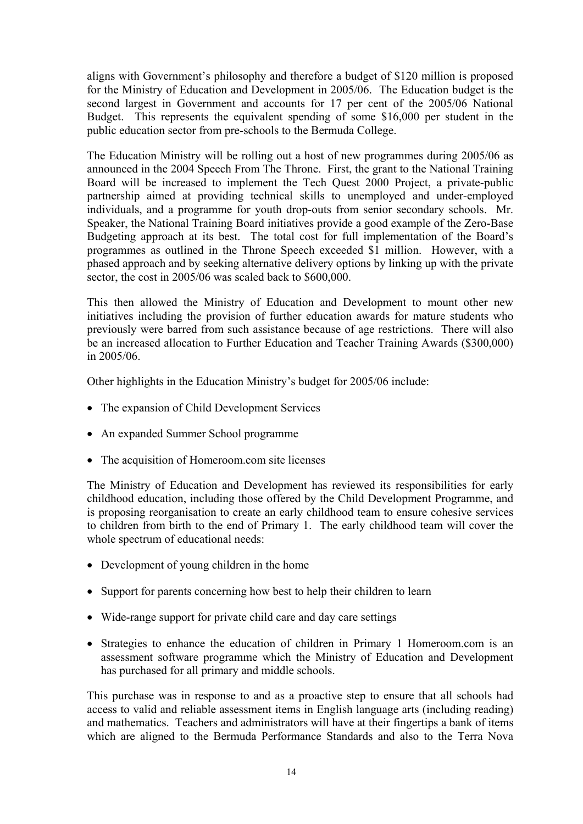aligns with Government's philosophy and therefore a budget of \$120 million is proposed for the Ministry of Education and Development in 2005/06. The Education budget is the second largest in Government and accounts for 17 per cent of the 2005/06 National Budget. This represents the equivalent spending of some \$16,000 per student in the public education sector from pre-schools to the Bermuda College.

The Education Ministry will be rolling out a host of new programmes during 2005/06 as announced in the 2004 Speech From The Throne. First, the grant to the National Training Board will be increased to implement the Tech Quest 2000 Project, a private-public partnership aimed at providing technical skills to unemployed and under-employed individuals, and a programme for youth drop-outs from senior secondary schools. Mr. Speaker, the National Training Board initiatives provide a good example of the Zero-Base Budgeting approach at its best. The total cost for full implementation of the Board's programmes as outlined in the Throne Speech exceeded \$1 million. However, with a phased approach and by seeking alternative delivery options by linking up with the private sector, the cost in 2005/06 was scaled back to \$600,000.

This then allowed the Ministry of Education and Development to mount other new initiatives including the provision of further education awards for mature students who previously were barred from such assistance because of age restrictions. There will also be an increased allocation to Further Education and Teacher Training Awards (\$300,000) in 2005/06.

Other highlights in the Education Ministry's budget for 2005/06 include:

- The expansion of Child Development Services
- An expanded Summer School programme
- The acquisition of Homeroom.com site licenses

The Ministry of Education and Development has reviewed its responsibilities for early childhood education, including those offered by the Child Development Programme, and is proposing reorganisation to create an early childhood team to ensure cohesive services to children from birth to the end of Primary 1. The early childhood team will cover the whole spectrum of educational needs:

- Development of young children in the home
- Support for parents concerning how best to help their children to learn
- Wide-range support for private child care and day care settings
- Strategies to enhance the education of children in Primary 1 Homeroom.com is an assessment software programme which the Ministry of Education and Development has purchased for all primary and middle schools.

This purchase was in response to and as a proactive step to ensure that all schools had access to valid and reliable assessment items in English language arts (including reading) and mathematics. Teachers and administrators will have at their fingertips a bank of items which are aligned to the Bermuda Performance Standards and also to the Terra Nova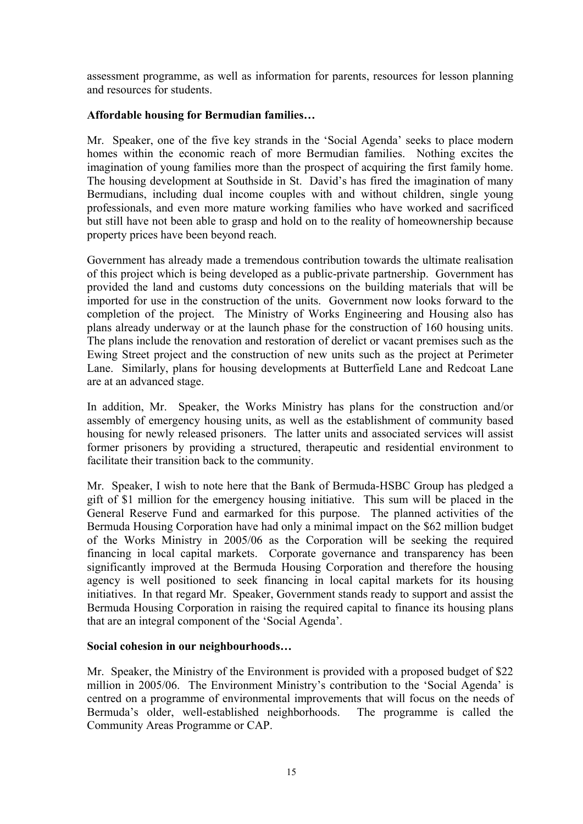assessment programme, as well as information for parents, resources for lesson planning and resources for students.

## **Affordable housing for Bermudian families…**

Mr. Speaker, one of the five key strands in the 'Social Agenda' seeks to place modern homes within the economic reach of more Bermudian families. Nothing excites the imagination of young families more than the prospect of acquiring the first family home. The housing development at Southside in St. David's has fired the imagination of many Bermudians, including dual income couples with and without children, single young professionals, and even more mature working families who have worked and sacrificed but still have not been able to grasp and hold on to the reality of homeownership because property prices have been beyond reach.

Government has already made a tremendous contribution towards the ultimate realisation of this project which is being developed as a public-private partnership. Government has provided the land and customs duty concessions on the building materials that will be imported for use in the construction of the units. Government now looks forward to the completion of the project. The Ministry of Works Engineering and Housing also has plans already underway or at the launch phase for the construction of 160 housing units. The plans include the renovation and restoration of derelict or vacant premises such as the Ewing Street project and the construction of new units such as the project at Perimeter Lane. Similarly, plans for housing developments at Butterfield Lane and Redcoat Lane are at an advanced stage.

In addition, Mr. Speaker, the Works Ministry has plans for the construction and/or assembly of emergency housing units, as well as the establishment of community based housing for newly released prisoners. The latter units and associated services will assist former prisoners by providing a structured, therapeutic and residential environment to facilitate their transition back to the community.

Mr. Speaker, I wish to note here that the Bank of Bermuda-HSBC Group has pledged a gift of \$1 million for the emergency housing initiative. This sum will be placed in the General Reserve Fund and earmarked for this purpose. The planned activities of the Bermuda Housing Corporation have had only a minimal impact on the \$62 million budget of the Works Ministry in 2005/06 as the Corporation will be seeking the required financing in local capital markets. Corporate governance and transparency has been significantly improved at the Bermuda Housing Corporation and therefore the housing agency is well positioned to seek financing in local capital markets for its housing initiatives. In that regard Mr. Speaker, Government stands ready to support and assist the Bermuda Housing Corporation in raising the required capital to finance its housing plans that are an integral component of the 'Social Agenda'.

#### **Social cohesion in our neighbourhoods…**

Mr. Speaker, the Ministry of the Environment is provided with a proposed budget of \$22 million in 2005/06. The Environment Ministry's contribution to the 'Social Agenda' is centred on a programme of environmental improvements that will focus on the needs of Bermuda's older, well-established neighborhoods. The programme is called the Community Areas Programme or CAP.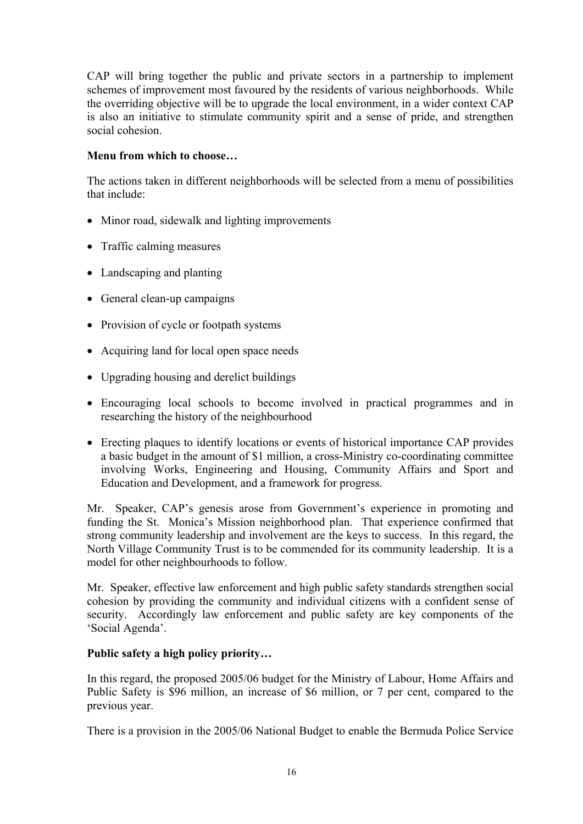CAP will bring together the public and private sectors in a partnership to implement schemes of improvement most favoured by the residents of various neighborhoods. While the overriding objective will be to upgrade the local environment, in a wider context CAP is also an initiative to stimulate community spirit and a sense of pride, and strengthen social cohesion.

#### **Menu from which to choose…**

The actions taken in different neighborhoods will be selected from a menu of possibilities that include:

- Minor road, sidewalk and lighting improvements
- Traffic calming measures
- Landscaping and planting
- General clean-up campaigns
- Provision of cycle or footpath systems
- Acquiring land for local open space needs
- Upgrading housing and derelict buildings
- Encouraging local schools to become involved in practical programmes and in researching the history of the neighbourhood
- Erecting plaques to identify locations or events of historical importance CAP provides a basic budget in the amount of \$1 million, a cross-Ministry co-coordinating committee involving Works, Engineering and Housing, Community Affairs and Sport and Education and Development, and a framework for progress.

Mr. Speaker, CAP's genesis arose from Government's experience in promoting and funding the St. Monica's Mission neighborhood plan. That experience confirmed that strong community leadership and involvement are the keys to success. In this regard, the North Village Community Trust is to be commended for its community leadership. It is a model for other neighbourhoods to follow.

Mr. Speaker, effective law enforcement and high public safety standards strengthen social cohesion by providing the community and individual citizens with a confident sense of security. Accordingly law enforcement and public safety are key components of the 'Social Agenda'.

## **Public safety a high policy priority…**

In this regard, the proposed 2005/06 budget for the Ministry of Labour, Home Affairs and Public Safety is \$96 million, an increase of \$6 million, or 7 per cent, compared to the previous year.

There is a provision in the 2005/06 National Budget to enable the Bermuda Police Service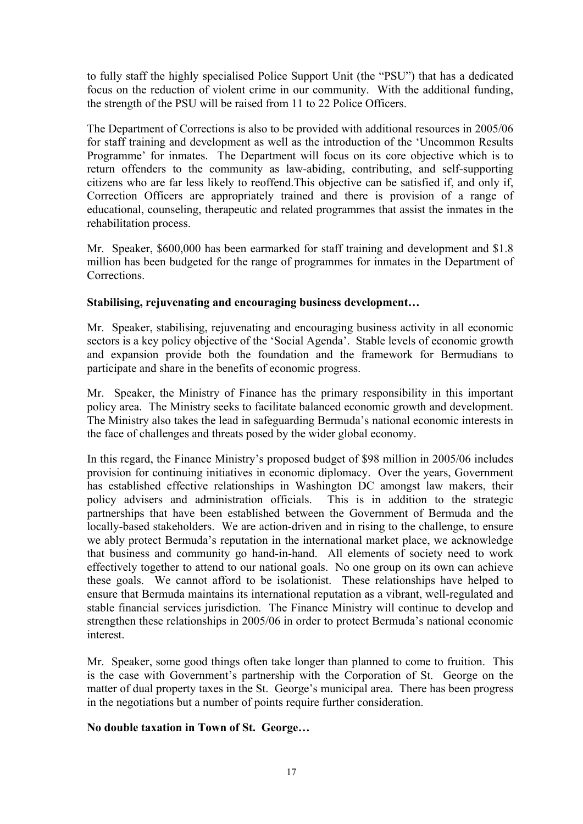to fully staff the highly specialised Police Support Unit (the "PSU") that has a dedicated focus on the reduction of violent crime in our community. With the additional funding, the strength of the PSU will be raised from 11 to 22 Police Officers.

The Department of Corrections is also to be provided with additional resources in 2005/06 for staff training and development as well as the introduction of the 'Uncommon Results Programme' for inmates. The Department will focus on its core objective which is to return offenders to the community as law-abiding, contributing, and self-supporting citizens who are far less likely to reoffend.This objective can be satisfied if, and only if, Correction Officers are appropriately trained and there is provision of a range of educational, counseling, therapeutic and related programmes that assist the inmates in the rehabilitation process.

Mr. Speaker, \$600,000 has been earmarked for staff training and development and \$1.8 million has been budgeted for the range of programmes for inmates in the Department of **Corrections** 

#### **Stabilising, rejuvenating and encouraging business development…**

Mr. Speaker, stabilising, rejuvenating and encouraging business activity in all economic sectors is a key policy objective of the 'Social Agenda'. Stable levels of economic growth and expansion provide both the foundation and the framework for Bermudians to participate and share in the benefits of economic progress.

Mr. Speaker, the Ministry of Finance has the primary responsibility in this important policy area. The Ministry seeks to facilitate balanced economic growth and development. The Ministry also takes the lead in safeguarding Bermuda's national economic interests in the face of challenges and threats posed by the wider global economy.

In this regard, the Finance Ministry's proposed budget of \$98 million in 2005/06 includes provision for continuing initiatives in economic diplomacy. Over the years, Government has established effective relationships in Washington DC amongst law makers, their policy advisers and administration officials. This is in addition to the strategic partnerships that have been established between the Government of Bermuda and the locally-based stakeholders. We are action-driven and in rising to the challenge, to ensure we ably protect Bermuda's reputation in the international market place, we acknowledge that business and community go hand-in-hand. All elements of society need to work effectively together to attend to our national goals. No one group on its own can achieve these goals. We cannot afford to be isolationist. These relationships have helped to ensure that Bermuda maintains its international reputation as a vibrant, well-regulated and stable financial services jurisdiction. The Finance Ministry will continue to develop and strengthen these relationships in 2005/06 in order to protect Bermuda's national economic interest.

Mr. Speaker, some good things often take longer than planned to come to fruition. This is the case with Government's partnership with the Corporation of St. George on the matter of dual property taxes in the St. George's municipal area. There has been progress in the negotiations but a number of points require further consideration.

#### **No double taxation in Town of St. George…**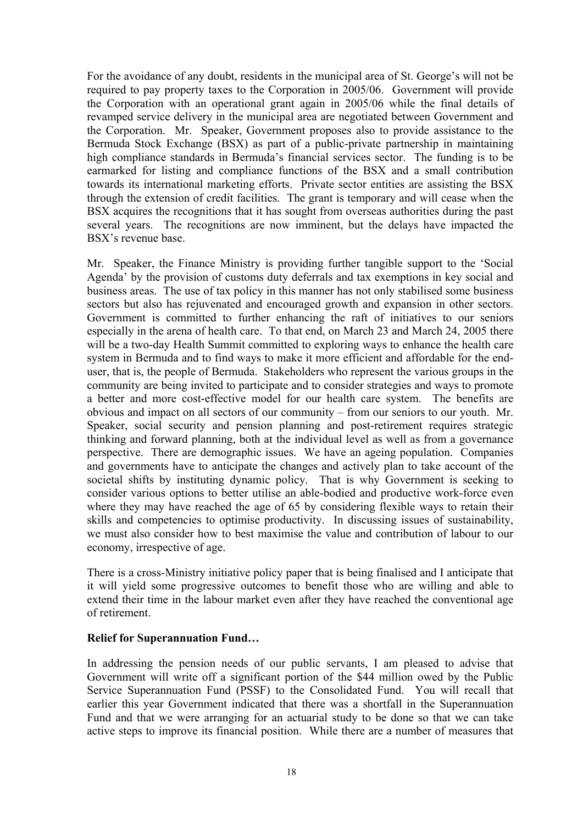For the avoidance of any doubt, residents in the municipal area of St. George's will not be required to pay property taxes to the Corporation in 2005/06. Government will provide the Corporation with an operational grant again in 2005/06 while the final details of revamped service delivery in the municipal area are negotiated between Government and the Corporation. Mr. Speaker, Government proposes also to provide assistance to the Bermuda Stock Exchange (BSX) as part of a public-private partnership in maintaining high compliance standards in Bermuda's financial services sector. The funding is to be earmarked for listing and compliance functions of the BSX and a small contribution towards its international marketing efforts. Private sector entities are assisting the BSX through the extension of credit facilities. The grant is temporary and will cease when the BSX acquires the recognitions that it has sought from overseas authorities during the past several years. The recognitions are now imminent, but the delays have impacted the BSX's revenue base.

Mr. Speaker, the Finance Ministry is providing further tangible support to the 'Social Agenda' by the provision of customs duty deferrals and tax exemptions in key social and business areas. The use of tax policy in this manner has not only stabilised some business sectors but also has rejuvenated and encouraged growth and expansion in other sectors. Government is committed to further enhancing the raft of initiatives to our seniors especially in the arena of health care. To that end, on March 23 and March 24, 2005 there will be a two-day Health Summit committed to exploring ways to enhance the health care system in Bermuda and to find ways to make it more efficient and affordable for the enduser, that is, the people of Bermuda. Stakeholders who represent the various groups in the community are being invited to participate and to consider strategies and ways to promote a better and more cost-effective model for our health care system. The benefits are obvious and impact on all sectors of our community – from our seniors to our youth. Mr. Speaker, social security and pension planning and post-retirement requires strategic thinking and forward planning, both at the individual level as well as from a governance perspective. There are demographic issues. We have an ageing population. Companies and governments have to anticipate the changes and actively plan to take account of the societal shifts by instituting dynamic policy. That is why Government is seeking to consider various options to better utilise an able-bodied and productive work-force even where they may have reached the age of 65 by considering flexible ways to retain their skills and competencies to optimise productivity. In discussing issues of sustainability, we must also consider how to best maximise the value and contribution of labour to our economy, irrespective of age.

There is a cross-Ministry initiative policy paper that is being finalised and I anticipate that it will yield some progressive outcomes to benefit those who are willing and able to extend their time in the labour market even after they have reached the conventional age of retirement.

#### **Relief for Superannuation Fund…**

In addressing the pension needs of our public servants, I am pleased to advise that Government will write off a significant portion of the \$44 million owed by the Public Service Superannuation Fund (PSSF) to the Consolidated Fund. You will recall that earlier this year Government indicated that there was a shortfall in the Superannuation Fund and that we were arranging for an actuarial study to be done so that we can take active steps to improve its financial position. While there are a number of measures that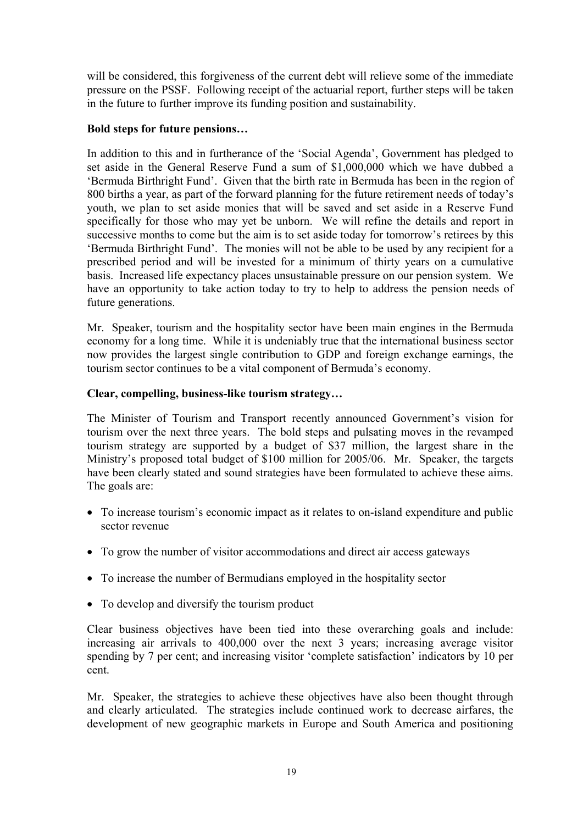will be considered, this forgiveness of the current debt will relieve some of the immediate pressure on the PSSF. Following receipt of the actuarial report, further steps will be taken in the future to further improve its funding position and sustainability.

#### **Bold steps for future pensions…**

In addition to this and in furtherance of the 'Social Agenda', Government has pledged to set aside in the General Reserve Fund a sum of \$1,000,000 which we have dubbed a 'Bermuda Birthright Fund'. Given that the birth rate in Bermuda has been in the region of 800 births a year, as part of the forward planning for the future retirement needs of today's youth, we plan to set aside monies that will be saved and set aside in a Reserve Fund specifically for those who may yet be unborn. We will refine the details and report in successive months to come but the aim is to set aside today for tomorrow's retirees by this 'Bermuda Birthright Fund'. The monies will not be able to be used by any recipient for a prescribed period and will be invested for a minimum of thirty years on a cumulative basis. Increased life expectancy places unsustainable pressure on our pension system. We have an opportunity to take action today to try to help to address the pension needs of future generations.

Mr. Speaker, tourism and the hospitality sector have been main engines in the Bermuda economy for a long time. While it is undeniably true that the international business sector now provides the largest single contribution to GDP and foreign exchange earnings, the tourism sector continues to be a vital component of Bermuda's economy.

#### **Clear, compelling, business-like tourism strategy…**

The Minister of Tourism and Transport recently announced Government's vision for tourism over the next three years. The bold steps and pulsating moves in the revamped tourism strategy are supported by a budget of \$37 million, the largest share in the Ministry's proposed total budget of \$100 million for 2005/06. Mr. Speaker, the targets have been clearly stated and sound strategies have been formulated to achieve these aims. The goals are:

- To increase tourism's economic impact as it relates to on-island expenditure and public sector revenue
- To grow the number of visitor accommodations and direct air access gateways
- To increase the number of Bermudians employed in the hospitality sector
- To develop and diversify the tourism product

Clear business objectives have been tied into these overarching goals and include: increasing air arrivals to 400,000 over the next 3 years; increasing average visitor spending by 7 per cent; and increasing visitor 'complete satisfaction' indicators by 10 per cent.

Mr. Speaker, the strategies to achieve these objectives have also been thought through and clearly articulated. The strategies include continued work to decrease airfares, the development of new geographic markets in Europe and South America and positioning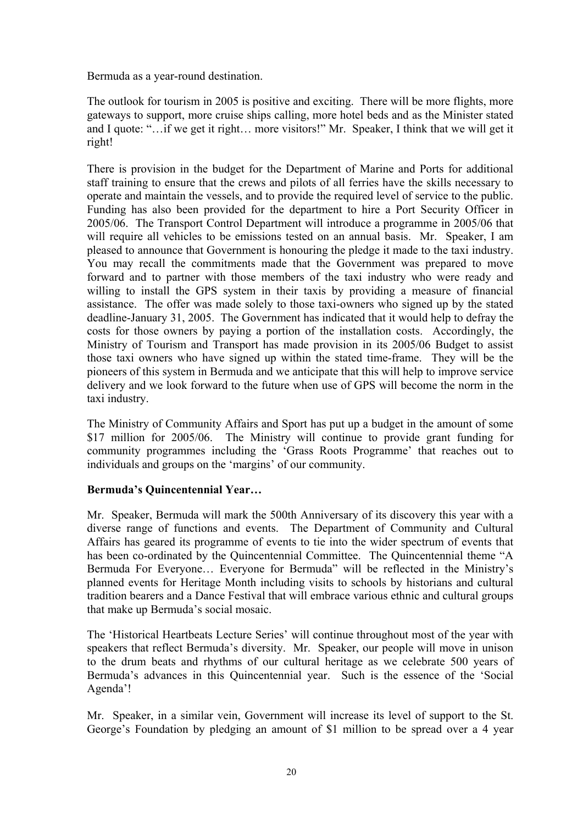Bermuda as a year-round destination.

The outlook for tourism in 2005 is positive and exciting. There will be more flights, more gateways to support, more cruise ships calling, more hotel beds and as the Minister stated and I quote: "…if we get it right… more visitors!" Mr. Speaker, I think that we will get it right!

There is provision in the budget for the Department of Marine and Ports for additional staff training to ensure that the crews and pilots of all ferries have the skills necessary to operate and maintain the vessels, and to provide the required level of service to the public. Funding has also been provided for the department to hire a Port Security Officer in 2005/06. The Transport Control Department will introduce a programme in 2005/06 that will require all vehicles to be emissions tested on an annual basis. Mr. Speaker, I am pleased to announce that Government is honouring the pledge it made to the taxi industry. You may recall the commitments made that the Government was prepared to move forward and to partner with those members of the taxi industry who were ready and willing to install the GPS system in their taxis by providing a measure of financial assistance. The offer was made solely to those taxi-owners who signed up by the stated deadline-January 31, 2005. The Government has indicated that it would help to defray the costs for those owners by paying a portion of the installation costs. Accordingly, the Ministry of Tourism and Transport has made provision in its 2005/06 Budget to assist those taxi owners who have signed up within the stated time-frame. They will be the pioneers of this system in Bermuda and we anticipate that this will help to improve service delivery and we look forward to the future when use of GPS will become the norm in the taxi industry.

The Ministry of Community Affairs and Sport has put up a budget in the amount of some \$17 million for 2005/06. The Ministry will continue to provide grant funding for community programmes including the 'Grass Roots Programme' that reaches out to individuals and groups on the 'margins' of our community.

#### **Bermuda's Quincentennial Year…**

Mr. Speaker, Bermuda will mark the 500th Anniversary of its discovery this year with a diverse range of functions and events. The Department of Community and Cultural Affairs has geared its programme of events to tie into the wider spectrum of events that has been co-ordinated by the Quincentennial Committee. The Quincentennial theme "A Bermuda For Everyone… Everyone for Bermuda" will be reflected in the Ministry's planned events for Heritage Month including visits to schools by historians and cultural tradition bearers and a Dance Festival that will embrace various ethnic and cultural groups that make up Bermuda's social mosaic.

The 'Historical Heartbeats Lecture Series' will continue throughout most of the year with speakers that reflect Bermuda's diversity. Mr. Speaker, our people will move in unison to the drum beats and rhythms of our cultural heritage as we celebrate 500 years of Bermuda's advances in this Quincentennial year. Such is the essence of the 'Social Agenda'!

Mr. Speaker, in a similar vein, Government will increase its level of support to the St. George's Foundation by pledging an amount of \$1 million to be spread over a 4 year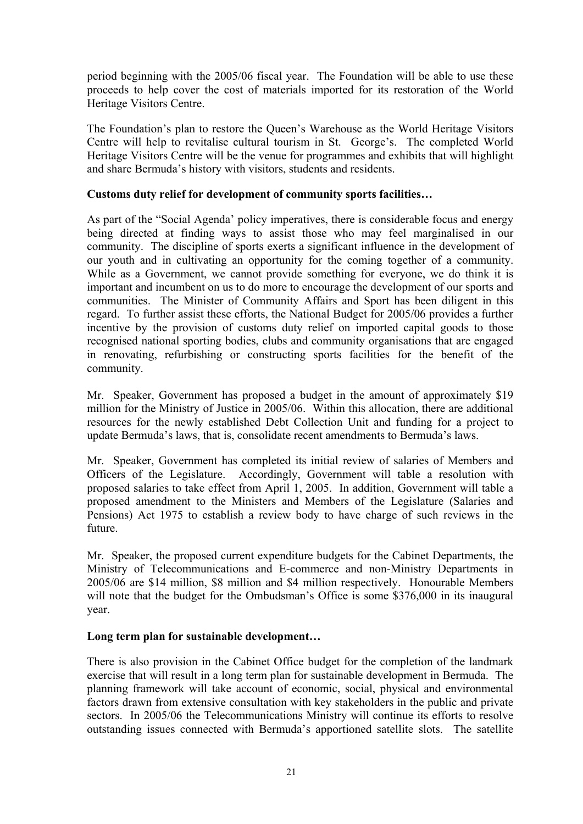period beginning with the 2005/06 fiscal year. The Foundation will be able to use these proceeds to help cover the cost of materials imported for its restoration of the World Heritage Visitors Centre.

The Foundation's plan to restore the Queen's Warehouse as the World Heritage Visitors Centre will help to revitalise cultural tourism in St. George's. The completed World Heritage Visitors Centre will be the venue for programmes and exhibits that will highlight and share Bermuda's history with visitors, students and residents.

#### **Customs duty relief for development of community sports facilities…**

As part of the "Social Agenda' policy imperatives, there is considerable focus and energy being directed at finding ways to assist those who may feel marginalised in our community. The discipline of sports exerts a significant influence in the development of our youth and in cultivating an opportunity for the coming together of a community. While as a Government, we cannot provide something for everyone, we do think it is important and incumbent on us to do more to encourage the development of our sports and communities. The Minister of Community Affairs and Sport has been diligent in this regard. To further assist these efforts, the National Budget for 2005/06 provides a further incentive by the provision of customs duty relief on imported capital goods to those recognised national sporting bodies, clubs and community organisations that are engaged in renovating, refurbishing or constructing sports facilities for the benefit of the community.

Mr. Speaker, Government has proposed a budget in the amount of approximately \$19 million for the Ministry of Justice in 2005/06. Within this allocation, there are additional resources for the newly established Debt Collection Unit and funding for a project to update Bermuda's laws, that is, consolidate recent amendments to Bermuda's laws.

Mr. Speaker, Government has completed its initial review of salaries of Members and Officers of the Legislature. Accordingly, Government will table a resolution with proposed salaries to take effect from April 1, 2005. In addition, Government will table a proposed amendment to the Ministers and Members of the Legislature (Salaries and Pensions) Act 1975 to establish a review body to have charge of such reviews in the future.

Mr. Speaker, the proposed current expenditure budgets for the Cabinet Departments, the Ministry of Telecommunications and E-commerce and non-Ministry Departments in 2005/06 are \$14 million, \$8 million and \$4 million respectively. Honourable Members will note that the budget for the Ombudsman's Office is some \$376,000 in its inaugural year.

#### **Long term plan for sustainable development…**

There is also provision in the Cabinet Office budget for the completion of the landmark exercise that will result in a long term plan for sustainable development in Bermuda. The planning framework will take account of economic, social, physical and environmental factors drawn from extensive consultation with key stakeholders in the public and private sectors. In 2005/06 the Telecommunications Ministry will continue its efforts to resolve outstanding issues connected with Bermuda's apportioned satellite slots. The satellite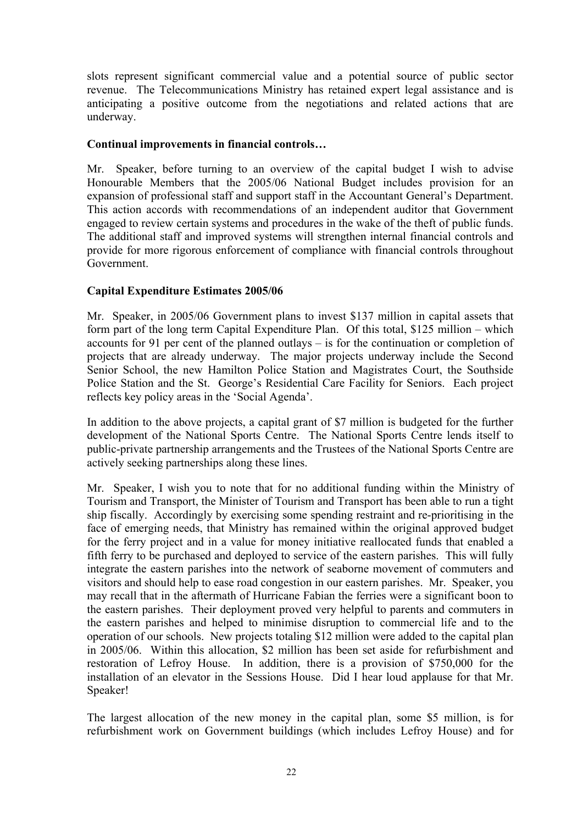slots represent significant commercial value and a potential source of public sector revenue. The Telecommunications Ministry has retained expert legal assistance and is anticipating a positive outcome from the negotiations and related actions that are underway.

#### **Continual improvements in financial controls…**

Mr. Speaker, before turning to an overview of the capital budget I wish to advise Honourable Members that the 2005/06 National Budget includes provision for an expansion of professional staff and support staff in the Accountant General's Department. This action accords with recommendations of an independent auditor that Government engaged to review certain systems and procedures in the wake of the theft of public funds. The additional staff and improved systems will strengthen internal financial controls and provide for more rigorous enforcement of compliance with financial controls throughout Government.

## **Capital Expenditure Estimates 2005/06**

Mr. Speaker, in 2005/06 Government plans to invest \$137 million in capital assets that form part of the long term Capital Expenditure Plan. Of this total, \$125 million – which accounts for 91 per cent of the planned outlays – is for the continuation or completion of projects that are already underway. The major projects underway include the Second Senior School, the new Hamilton Police Station and Magistrates Court, the Southside Police Station and the St. George's Residential Care Facility for Seniors. Each project reflects key policy areas in the 'Social Agenda'.

In addition to the above projects, a capital grant of \$7 million is budgeted for the further development of the National Sports Centre. The National Sports Centre lends itself to public-private partnership arrangements and the Trustees of the National Sports Centre are actively seeking partnerships along these lines.

Mr. Speaker, I wish you to note that for no additional funding within the Ministry of Tourism and Transport, the Minister of Tourism and Transport has been able to run a tight ship fiscally. Accordingly by exercising some spending restraint and re-prioritising in the face of emerging needs, that Ministry has remained within the original approved budget for the ferry project and in a value for money initiative reallocated funds that enabled a fifth ferry to be purchased and deployed to service of the eastern parishes. This will fully integrate the eastern parishes into the network of seaborne movement of commuters and visitors and should help to ease road congestion in our eastern parishes. Mr. Speaker, you may recall that in the aftermath of Hurricane Fabian the ferries were a significant boon to the eastern parishes. Their deployment proved very helpful to parents and commuters in the eastern parishes and helped to minimise disruption to commercial life and to the operation of our schools. New projects totaling \$12 million were added to the capital plan in 2005/06. Within this allocation, \$2 million has been set aside for refurbishment and restoration of Lefroy House. In addition, there is a provision of \$750,000 for the installation of an elevator in the Sessions House. Did I hear loud applause for that Mr. Speaker!

The largest allocation of the new money in the capital plan, some \$5 million, is for refurbishment work on Government buildings (which includes Lefroy House) and for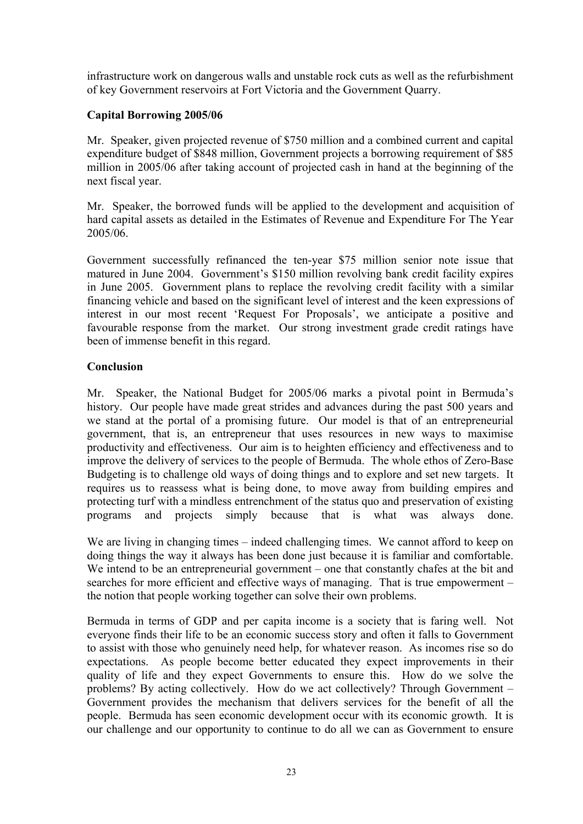infrastructure work on dangerous walls and unstable rock cuts as well as the refurbishment of key Government reservoirs at Fort Victoria and the Government Quarry.

## **Capital Borrowing 2005/06**

Mr. Speaker, given projected revenue of \$750 million and a combined current and capital expenditure budget of \$848 million, Government projects a borrowing requirement of \$85 million in 2005/06 after taking account of projected cash in hand at the beginning of the next fiscal year.

Mr. Speaker, the borrowed funds will be applied to the development and acquisition of hard capital assets as detailed in the Estimates of Revenue and Expenditure For The Year 2005/06.

Government successfully refinanced the ten-year \$75 million senior note issue that matured in June 2004. Government's \$150 million revolving bank credit facility expires in June 2005. Government plans to replace the revolving credit facility with a similar financing vehicle and based on the significant level of interest and the keen expressions of interest in our most recent 'Request For Proposals', we anticipate a positive and favourable response from the market. Our strong investment grade credit ratings have been of immense benefit in this regard.

## **Conclusion**

Mr. Speaker, the National Budget for 2005/06 marks a pivotal point in Bermuda's history. Our people have made great strides and advances during the past 500 years and we stand at the portal of a promising future. Our model is that of an entrepreneurial government, that is, an entrepreneur that uses resources in new ways to maximise productivity and effectiveness. Our aim is to heighten efficiency and effectiveness and to improve the delivery of services to the people of Bermuda. The whole ethos of Zero-Base Budgeting is to challenge old ways of doing things and to explore and set new targets. It requires us to reassess what is being done, to move away from building empires and protecting turf with a mindless entrenchment of the status quo and preservation of existing programs and projects simply because that is what was always done.

We are living in changing times – indeed challenging times. We cannot afford to keep on doing things the way it always has been done just because it is familiar and comfortable. We intend to be an entrepreneurial government – one that constantly chafes at the bit and searches for more efficient and effective ways of managing. That is true empowerment – the notion that people working together can solve their own problems.

Bermuda in terms of GDP and per capita income is a society that is faring well. Not everyone finds their life to be an economic success story and often it falls to Government to assist with those who genuinely need help, for whatever reason. As incomes rise so do expectations. As people become better educated they expect improvements in their quality of life and they expect Governments to ensure this. How do we solve the problems? By acting collectively. How do we act collectively? Through Government – Government provides the mechanism that delivers services for the benefit of all the people. Bermuda has seen economic development occur with its economic growth. It is our challenge and our opportunity to continue to do all we can as Government to ensure